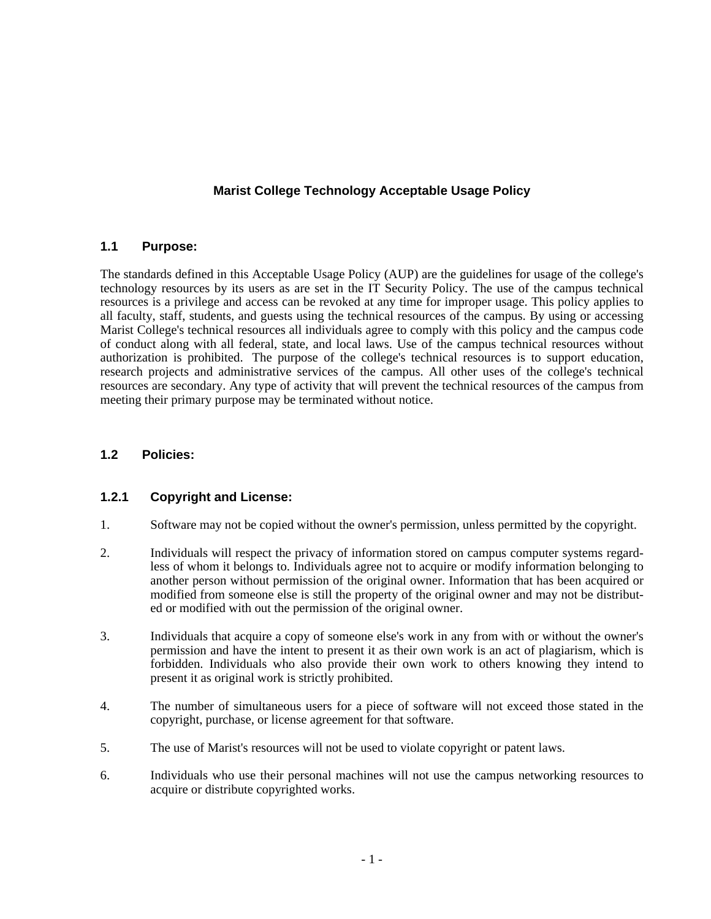# **Marist College Technology Acceptable Usage Policy**

#### **1.1 Purpose:**

The standards defined in this Acceptable Usage Policy (AUP) are the guidelines for usage of the college's technology resources by its users as are set in the IT Security Policy. The use of the campus technical resources is a privilege and access can be revoked at any time for improper usage. This policy applies to all faculty, staff, students, and guests using the technical resources of the campus. By using or accessing Marist College's technical resources all individuals agree to comply with this policy and the campus code of conduct along with all federal, state, and local laws. Use of the campus technical resources without authorization is prohibited. The purpose of the college's technical resources is to support education, research projects and administrative services of the campus. All other uses of the college's technical resources are secondary. Any type of activity that will prevent the technical resources of the campus from meeting their primary purpose may be terminated without notice.

# **1.2 Policies:**

#### **1.2.1 Copyright and License:**

- 1. Software may not be copied without the owner's permission, unless permitted by the copyright.
- 2. Individuals will respect the privacy of information stored on campus computer systems regard less of whom it belongs to. Individuals agree not to acquire or modify information belonging to another person without permission of the original owner. Information that has been acquired or modified from someone else is still the property of the original owner and may not be distribut ed or modified with out the permission of the original owner.
- 3. Individuals that acquire a copy of someone else's work in any from with or without the owner's permission and have the intent to present it as their own work is an act of plagiarism, which is forbidden. Individuals who also provide their own work to others knowing they intend to present it as original work is strictly prohibited.
- 4. The number of simultaneous users for a piece of software will not exceed those stated in the copyright, purchase, or license agreement for that software.
- 5. The use of Marist's resources will not be used to violate copyright or patent laws.
- 6. Individuals who use their personal machines will not use the campus networking resources to acquire or distribute copyrighted works.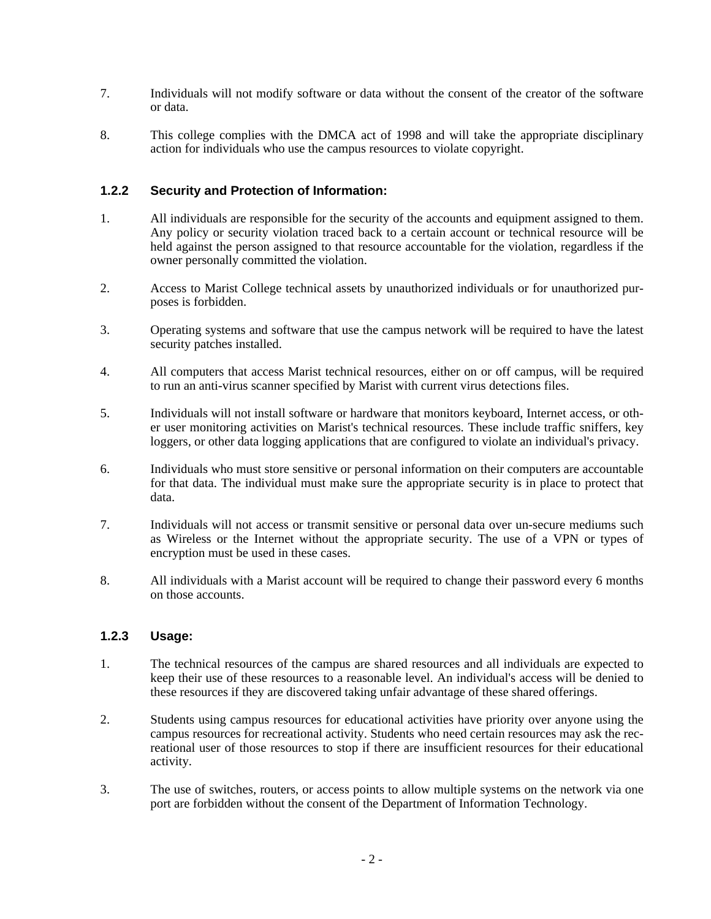- 7. Individuals will not modify software or data without the consent of the creator of the software or data.
- 8. This college complies with the DMCA act of 1998 and will take the appropriate disciplinary action for individuals who use the campus resources to violate copyright.

### **1.2.2 Security and Protection of Information:**

- 1. All individuals are responsible for the security of the accounts and equipment assigned to them. Any policy or security violation traced back to a certain account or technical resource will be held against the person assigned to that resource accountable for the violation, regardless if the owner personally committed the violation.
- 2. Access to Marist College technical assets by unauthorized individuals or for unauthorized pur poses is forbidden.
- 3. Operating systems and software that use the campus network will be required to have the latest security patches installed.
- 4. All computers that access Marist technical resources, either on or off campus, will be required to run an anti-virus scanner specified by Marist with current virus detections files.
- 5. Individuals will not install software or hardware that monitors keyboard, Internet access, or oth er user monitoring activities on Marist's technical resources. These include traffic sniffers, key loggers, or other data logging applications that are configured to violate an individual's privacy.
- 6. Individuals who must store sensitive or personal information on their computers are accountable for that data. The individual must make sure the appropriate security is in place to protect that data.
- 7. Individuals will not access or transmit sensitive or personal data over un-secure mediums such as Wireless or the Internet without the appropriate security. The use of a VPN or types of encryption must be used in these cases.
- 8. All individuals with a Marist account will be required to change their password every 6 months on those accounts.

#### **1.2.3 Usage:**

- 1. The technical resources of the campus are shared resources and all individuals are expected to keep their use of these resources to a reasonable level. An individual's access will be denied to these resources if they are discovered taking unfair advantage of these shared offerings.
- 2. Students using campus resources for educational activities have priority over anyone using the campus resources for recreational activity. Students who need certain resources may ask the rec reational user of those resources to stop if there are insufficient resources for their educational activity.
- 3. The use of switches, routers, or access points to allow multiple systems on the network via one port are forbidden without the consent of the Department of Information Technology.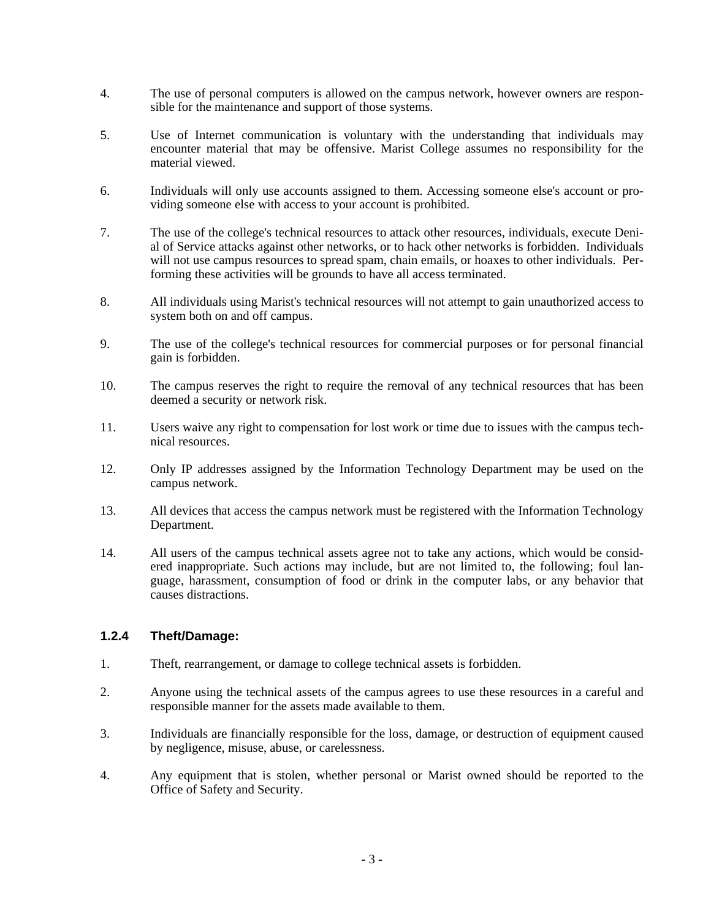- 4. The use of personal computers is allowed on the campus network, however owners are respon sible for the maintenance and support of those systems.
- 5. Use of Internet communication is voluntary with the understanding that individuals may encounter material that may be offensive. Marist College assumes no responsibility for the material viewed.
- 6. Individuals will only use accounts assigned to them. Accessing someone else's account or pro viding someone else with access to your account is prohibited.
- 7. The use of the college's technical resources to attack other resources, individuals, execute Deni al of Service attacks against other networks, or to hack other networks is forbidden. Individuals will not use campus resources to spread spam, chain emails, or hoaxes to other individuals. Per forming these activities will be grounds to have all access terminated.
- 8. All individuals using Marist's technical resources will not attempt to gain unauthorized access to system both on and off campus.
- 9. The use of the college's technical resources for commercial purposes or for personal financial gain is forbidden.
- 10. The campus reserves the right to require the removal of any technical resources that has been deemed a security or network risk.
- 11. Users waive any right to compensation for lost work or time due to issues with the campus tech nical resources.
- 12. Only IP addresses assigned by the Information Technology Department may be used on the campus network.
- 13. All devices that access the campus network must be registered with the Information Technology Department.
- 14. All users of the campus technical assets agree not to take any actions, which would be consid ered inappropriate. Such actions may include, but are not limited to, the following; foul lan guage, harassment, consumption of food or drink in the computer labs, or any behavior that causes distractions.

#### **1.2.4 Theft/Damage:**

- 1. Theft, rearrangement, or damage to college technical assets is forbidden.
- 2. Anyone using the technical assets of the campus agrees to use these resources in a careful and responsible manner for the assets made available to them.
- 3. Individuals are financially responsible for the loss, damage, or destruction of equipment caused by negligence, misuse, abuse, or carelessness.
- 4. Any equipment that is stolen, whether personal or Marist owned should be reported to the Office of Safety and Security.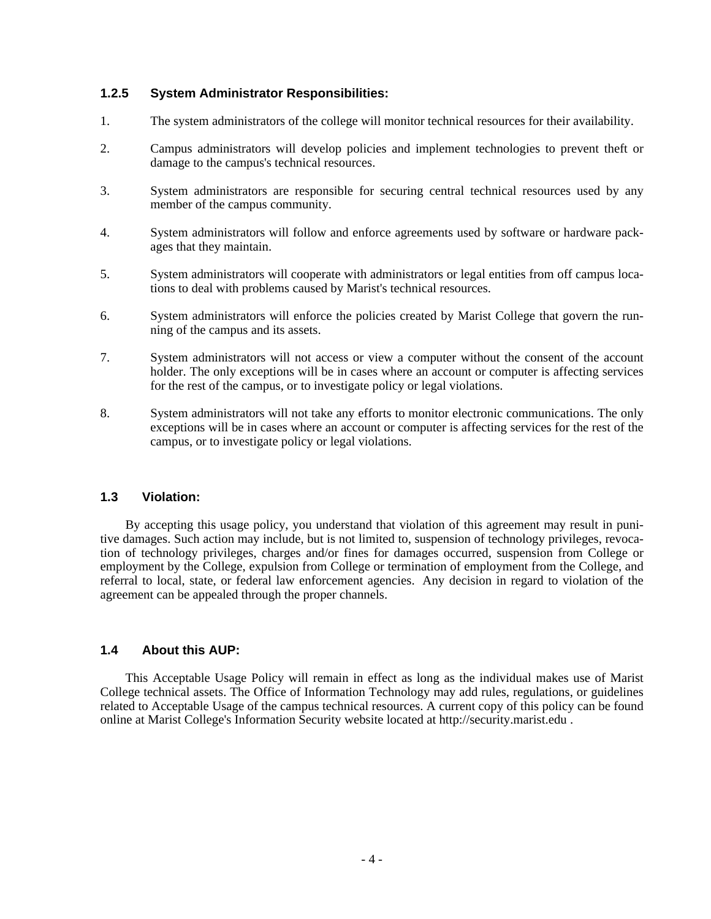### **1.2.5 System Administrator Responsibilities:**

- 1. The system administrators of the college will monitor technical resources for their availability.
- 2. Campus administrators will develop policies and implement technologies to prevent theft or damage to the campus's technical resources.
- 3. System administrators are responsible for securing central technical resources used by any member of the campus community.
- 4. System administrators will follow and enforce agreements used by software or hardware pack ages that they maintain.
- 5. System administrators will cooperate with administrators or legal entities from off campus loca tions to deal with problems caused by Marist's technical resources.
- 6. System administrators will enforce the policies created by Marist College that govern the run ning of the campus and its assets.
- 7. System administrators will not access or view a computer without the consent of the account holder. The only exceptions will be in cases where an account or computer is affecting services for the rest of the campus, or to investigate policy or legal violations.
- 8. System administrators will not take any efforts to monitor electronic communications. The only exceptions will be in cases where an account or computer is affecting services for the rest of the campus, or to investigate policy or legal violations.

# **1.3 Violation:**

 By accepting this usage policy, you understand that violation of this agreement may result in punitive damages. Such action may include, but is not limited to, suspension of technology privileges, revocation of technology privileges, charges and/or fines for damages occurred, suspension from College or employment by the College, expulsion from College or termination of employment from the College, and referral to local, state, or federal law enforcement agencies. Any decision in regard to violation of the agreement can be appealed through the proper channels.

# **1.4 About this AUP:**

 This Acceptable Usage Policy will remain in effect as long as the individual makes use of Marist College technical assets. The Office of Information Technology may add rules, regulations, or guidelines related to Acceptable Usage of the campus technical resources. A current copy of this policy can be found online at Marist College's Information Security website located at http://security.marist.edu .